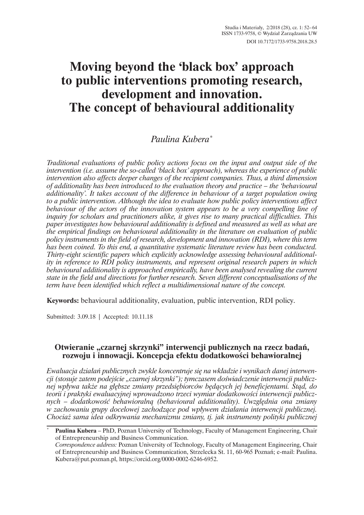# **Moving beyond the 'black box' approach to public interventions promoting research, development and innovation. The concept of behavioural additionality**

# *Paulina Kubera*\*

*Traditional evaluations of public policy actions focus on the input and output side of the intervention (i.e. assume the so-called 'black box' approach), whereas the experience of public intervention also affects deeper changes of the recipient companies. Thus, a third dimension of additionality has been introduced to the evaluation theory and practice – the 'behavioural additionality'. It takes account of the difference in behaviour of a target population owing to a public intervention. Although the idea to evaluate how public policy interventions affect behaviour of the actors of the innovation system appears to be a very compelling line of inquiry for scholars and practitioners alike, it gives rise to many practical difficulties. This paper investigates how behavioural additionality is defined and measured as well as what are the empirical findings on behavioural additionality in the literature on evaluation of public policy instruments in the field of research, development and innovation (RDI), where this term has been coined. To this end, a quantitative systematic literature review has been conducted. Thirty-eight scientific papers which explicitly acknowledge assessing behavioural additionality in reference to RDI policy instruments, and represent original research papers in which behavioural additionality is approached empirically, have been analysed revealing the current state in the field and directions for further research. Seven different conceptualisations of the term have been identified which reflect a multidimensional nature of the concept.*

**Keywords:** behavioural additionality, evaluation, public intervention, RDI policy.

Submitted: 3.09.18 | Accepted: 10.11.18

# **Otwieranie "czarnej skrzynki" interwencji publicznych na rzecz badañ,** rozwoju i innowacji. Koncepcja efektu dodatkowości behawioralnej

*Ewaluacja dziaïañ publicznych zwykle koncentruje siÚ na wkïadzie i wynikach danej interwencji (stosuje zatem podejĂcie "czarnej skrzynki"); tymczasem doĂwiadczenie interwencji publicznej wpływa także na głębsze zmiany przedsiębiorców będących jej beneficjentami. Stąd, do* teorii *i praktyki ewaluacyjnej wprowadzono trzeci wymiar dodatkowości interwencji publicznych – dodatkowoĂÊ behawioralnÈ (behavioural additionality). UwzglÚdnia ona zmiany w* zachowaniu grupy docelowej zachodzące pod wpływem działania interwencji publicznej. *Chociaĝ sama idea odkrywania mechanizmu zmiany, tj. jak instrumenty polityki publicznej* 

<sup>\*</sup> **Paulina Kubera** – PhD, Poznan University of Technology, Faculty of Management Engineering, Chair of Entrepreneurship and Business Communication.

*Correspondence address:* Poznan University of Technology, Faculty of Management Engineering, Chair of Entrepreneurship and Business Communication, Strzelecka St. 11, 60-965 Poznañ; e-mail: Paulina. Kubera@put.poznan.pl, https://orcid.org/0000-0002-6246-6952.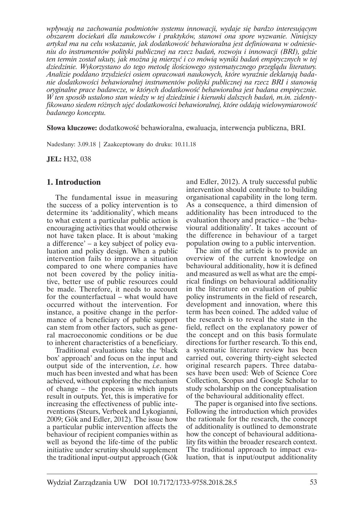*wpïywajÈ na zachowania podmiotów systemu innowacji, wydaje siÚ bardzo interesujÈcym obszarem dociekañ dla naukowców i praktyków, stanowi ona spore wyzwanie. Niniejszy artykuï ma na celu wskazanie, jak dodatkowoĂÊ behawioralna jest definiowana w odniesieniu do instrumentów polityki publicznej na rzecz badañ, rozwoju i innowacji (BRI), gdzie ten termin zostaï ukuty, jak moĝna jÈ mierzyÊ i co mówiÈ wyniki badañ empirycznych w tej dziedzinie. Wykorzystano do tego metodÚ iloĂciowego systematycznego przeglÈdu literatury. Analizie poddano trzydzieści osiem opracowań naukowych, które wyraźnie deklarują badanie dodatkowoĂci behawioralnej instrumentów polityki publicznej na rzecz BRI i stanowiÈ oryginalne prace badawcze, w których dodatkowoĂÊ behawioralna jest badana empirycznie. W ten sposób ustalono stan wiedzy w tej dziedzinie i kierunki dalszych badañ, m.in. zidentyfikowano siedem róĝnych ujÚÊ dodatkowoĂci behawioralnej, które oddajÈ wielowymiarowoĂÊ badanego konceptu.*

**Słowa kluczowe:** dodatkowość behawioralna, ewaluacja, interwencja publiczna, BRI.

Nadesïany: 3.09.18 | Zaakceptowany do druku: 10.11.18

**JEL:** H32, 038

### **1. Introduction**

The fundamental issue in measuring the success of a policy intervention is to determine its 'additionality', which means to what extent a particular public action is encouraging activities that would otherwise not have taken place. It is about 'making a difference' – a key subject of policy evaluation and policy design. When a public intervention fails to improve a situation compared to one where companies have not been covered by the policy initiative, better use of public resources could be made. Therefore, it needs to account for the counterfactual – what would have occurred without the intervention. For instance, a positive change in the performance of a beneficiary of public support can stem from other factors, such as general macroeconomic conditions or be due to inherent characteristics of a beneficiary.

Traditional evaluations take the 'black box' approach' and focus on the input and output side of the intervention, *i.e*. how much has been invested and what has been achieved, without exploring the mechanism of change – the process in which inputs result in outputs. Yet, this is imperative for increasing the effectiveness of public interventions (Steurs, Verbeek and Lykogianni, 2009; Gök and Edler, 2012). The issue how a particular public intervention affects the behaviour of recipient companies within as well as beyond the life-time of the public initiative under scrutiny should supplement the traditional input-output approach (Gök

and Edler, 2012). A truly successful public intervention should contribute to building organisational capability in the long term. As a consequence, a third dimension of additionality has been introduced to the evaluation theory and practice – the 'behavioural additionality'. It takes account of the difference in behaviour of a target population owing to a public intervention.

The aim of the article is to provide an overview of the current knowledge on behavioural additionality, how it is defined and measured as well as what are the empirical findings on behavioural additionality in the literature on evaluation of public policy instruments in the field of research, development and innovation, where this term has been coined. The added value of the research is to reveal the state in the field, reflect on the explanatory power of the concept and on this basis formulate directions for further research. To this end, a systematic literature review has been carried out, covering thirty-eight selected original research papers. Three databases have been used: Web of Science Core Collection, Scopus and Google Scholar to study scholarship on the conceptualisation of the behavioural additionality effect.

The paper is organised into five sections. Following the introduction which provides the rationale for the research, the concept of additionality is outlined to demonstrate how the concept of behavioural additionality fits within the broader research context. The traditional approach to impact evaluation, that is input/output additionality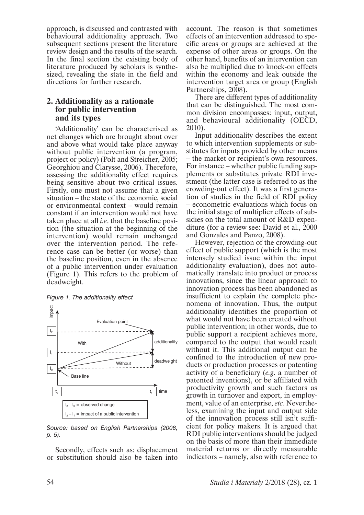approach, is discussed and contrasted with behavioural additionality approach. Two subsequent sections present the literature review design and the results of the search. In the final section the existing body of literature produced by scholars is synthesized, revealing the state in the field and directions for further research.

# **2. Additionality as a rationale for public intervention and its types**

'Additionality' can be characterised as net changes which are brought about over and above what would take place anyway without public intervention (a program, project or policy) (Polt and Streicher, 2005; Georghiou and Clarysse, 2006). Therefore, assessing the additionality effect requires being sensitive about two critical issues. Firstly, one must not assume that a given situation – the state of the economic, social or environmental context – would remain constant if an intervention would not have taken place at all *i.e*. that the baseline position (the situation at the beginning of the intervention) would remain unchanged over the intervention period. The reference case can be better (or worse) than the baseline position, even in the absence of a public intervention under evaluation (Figure 1). This refers to the problem of deadweight.





*Source: based on English Partnerships (2008, p. 5).*

Secondly, effects such as: displacement or substitution should also be taken into account. The reason is that sometimes effects of an intervention addressed to specific areas or groups are achieved at the expense of other areas or groups. On the other hand, benefits of an intervention can also be multiplied due to knock-on effects within the economy and leak outside the intervention target area or group (English Partnerships, 2008).

There are different types of additionality that can be distinguished. The most common division encompasses: input, output, and behavioural additionality (OECD, 2010).

Input additionality describes the extent to which intervention supplements or substitutes for inputs provided by other means – the market or recipient's own resources. For instance – whether public funding supplements or substitutes private RDI investment (the latter case is referred to as the crowding-out effect). It was a first generation of studies in the field of RDI policy – econometric evaluations which focus on the initial stage of multiplier effects of subsidies on the total amount of R&D expenditure (for a review see: David et al., 2000 and Gonzales and Panzo, 2008).

However, rejection of the crowding-out effect of public support (which is the most intensely studied issue within the input additionality evaluation), does not automatically translate into product or process innovations, since the linear approach to innovation process has been abandoned as insufficient to explain the complete phenomena of innovation. Thus, the output additionality identifies the proportion of what would not have been created without public intervention; in other words, due to public support a recipient achieves more, compared to the output that would result without it. This additional output can be confined to the introduction of new products or production processes or patenting activity of a beneficiary (*e.g*. a number of patented inventions), or be affiliated with productivity growth and such factors as growth in turnover and export, in employment, value of an enterprise, *etc*. Nevertheless, examining the input and output side of the innovation process still isn't sufficient for policy makers. It is argued that RDI public interventions should be judged on the basis of more than their immediate material returns or directly measurable indicators – namely, also with reference to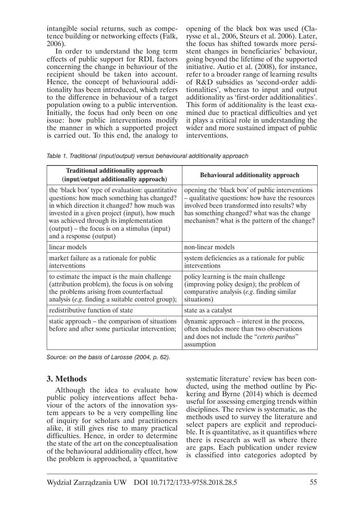intangible social returns, such as competence building or networking effects (Falk, 2006).

In order to understand the long term effects of public support for RDI, factors concerning the change in behaviour of the recipient should be taken into account. Hence, the concept of behavioural additionality has been introduced, which refers to the difference in behaviour of a target population owing to a public intervention. Initially, the focus had only been on one issue: how public interventions modify the manner in which a supported project is carried out. To this end, the analogy to

opening of the black box was used (Clarysse et al., 2006, Steurs et al. 2006). Later, the focus has shifted towards more persistent changes in beneficiaries' behaviour, going beyond the lifetime of the supported initiative. Autio et al. (2008), for instance, refer to a broader range of learning results of R&D subsidies as 'second-order additionalities', whereas to input and output additionality as 'first-order additionalities'. This form of additionality is the least examined due to practical difficulties and yet it plays a critical role in understanding the wider and more sustained impact of public interventions.

| <b>Traditional additionality approach</b><br>(input/output additionality approach)                                                                                                                                                                                                                                      | <b>Behavioural additionality approach</b>                                                                                                                                                                                                        |
|-------------------------------------------------------------------------------------------------------------------------------------------------------------------------------------------------------------------------------------------------------------------------------------------------------------------------|--------------------------------------------------------------------------------------------------------------------------------------------------------------------------------------------------------------------------------------------------|
| the 'black box' type of evaluation: quantitative<br>questions: how much something has changed?<br>in which direction it changed? how much was<br>invested in a given project (input), how much<br>was achieved through its implementation<br>$(output)$ – the focus is on a stimulus (input)<br>and a response (output) | opening the 'black box' of public interventions<br>- qualitative questions: how have the resources<br>involved been transformed into results? why<br>has something changed? what was the change<br>mechanism? what is the pattern of the change? |
| linear models                                                                                                                                                                                                                                                                                                           | non-linear models                                                                                                                                                                                                                                |
| market failure as a rationale for public<br>interventions                                                                                                                                                                                                                                                               | system deficiencies as a rationale for public<br>interventions                                                                                                                                                                                   |
| to estimate the impact is the main challenge<br>(attribution problem), the focus is on solving<br>the problems arising from counterfactual<br>analysis (e.g. finding a suitable control group);                                                                                                                         | policy learning is the main challenge<br>(improving policy design); the problem of<br>comparative analysis (e.g. finding similar<br>situations)                                                                                                  |
| redistributive function of state                                                                                                                                                                                                                                                                                        | state as a catalyst                                                                                                                                                                                                                              |
| static approach – the comparison of situations<br>before and after some particular intervention;                                                                                                                                                                                                                        | dynamic approach – interest in the process,<br>often includes more than two observations<br>and does not include the "ceteris paribus"<br>assumption                                                                                             |

*Table 1. Traditional (input/output) versus behavioural additionality approach*

*Source: on the basis of Larosse (2004, p. 62).*

# **3. Methods**

Although the idea to evaluate how public policy interventions affect behaviour of the actors of the innovation system appears to be a very compelling line of inquiry for scholars and practitioners alike, it still gives rise to many practical difficulties. Hence, in order to determine the state of the art on the conceptualisation of the behavioural additionality effect, how the problem is approached, a 'quantitative systematic literature' review has been conducted, using the method outline by Pickering and Byrne (2014) which is deemed useful for assessing emerging trends within disciplines. The review is systematic, as the methods used to survey the literature and select papers are explicit and reproducible. It is quantitative, as it quantifies where there is research as well as where there are gaps. Each publication under review is classified into categories adopted by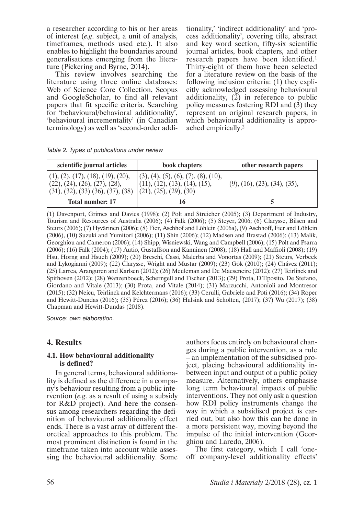a researcher according to his or her areas of interest (*e.g*. subject, a unit of analysis, timeframes, methods used etc.). It also enables to highlight the boundaries around generalisations emerging from the literature (Pickering and Byrne, 2014).

This review involves searching the literature using three online databases: Web of Science Core Collection, Scopus and GoogleScholar, to find all relevant papers that fit specific criteria. Searching for 'behavioural/behavioral additionality', 'behavioural incrementality' (in Canadian terminology) as well as 'second-order additionality,' 'indirect additionality' and 'process additionality', covering title, abstract and key word section, fifty-six scientific journal articles, book chapters, and other research papers have been identified.<sup>1</sup> Thirty-eight of them have been selected for a literature review on the basis of the following inclusion criteria: (1) they explicitly acknowledged assessing behavioural additionality, (2) in reference to public policy measures fostering RDI and  $(3)$  they represent an original research papers, in which behavioural additionality is approached empirically.<sup>2</sup>

|  | Table 2. Types of publications under review |  |
|--|---------------------------------------------|--|
|  |                                             |  |

| scientific journal articles                                                                              | book chapters                                                                                  | other research papers       |
|----------------------------------------------------------------------------------------------------------|------------------------------------------------------------------------------------------------|-----------------------------|
| (1), (2), (17), (18), (19), (20),<br>(22), (24), (26), (27), (28),<br>(31), (32), (33), (36), (37), (38) | (3), (4), (5), (6), (7), (8), (10),<br>(11), (12), (13), (14), (15),<br>(21), (25), (29), (30) | (9, (16), (23), (34), (35), |
| <b>Total number: 17</b>                                                                                  | 16                                                                                             |                             |

(1) Davenport, Grimes and Davies (1998); (2) Polt and Streicher (2005); (3) Department of Industry, Tourism and Resources of Australia (2006); (4) Falk (2006); (5) Steyer, 2006; (6) Clarysse, Bilsen and Steurs (2006); (7) Hyvärinen (2006); (8) Fier, Aschhof and Löhlein (2006a), (9) Aschhoff, Fier and Löhlein (2006), (10) Suzuki and Yumitori (2006); (11) Shin (2006); (12) Madsen and Brastad (2006); (13) Malik, Georghiou and Cameron (2006); (14) Shipp, Wisniewski, Wang and Campbell (2006); (15) Polt and Psarra (2006); (16) Falk (2004); (17) Autio, Gustaffson and Kanninen (2008); (18) Hall and Maffioli (2008); (19) Hsu, Horng and Hsueh (2009); (20) Breschi, Cassi, Malerba and Vonortas (2009); (21) Steurs, Verbeek and Lykogianni (2009); (22) Clarysse, Wright and Mustar (2009); (23) Gök (2010); (24) Chávez (2011); (25) Larrea, Aranguren and Karlsen (2012); (26) Meuleman and De Maeseneire (2012); (27) Teirlinck and Spithoven (2012); (28) Wanzenboeck, Scherngell and Fischer (2013); (29) Prota, D'Eposito, De Stefano, Giordano and Vitale (2013); (30) Prota, and Vitale (2014); (31) Marzucchi, Antonioli and Montresor (2015); (32) Neicu, Teirlinck and Kelchtermans (2016); (33) Cerulli, Gabriele and Potì (2016); (34) Roper and Hewitt-Dundas (2016); (35) Pérez (2016); (36) Hulsink and Scholten, (2017); (37) Wu (2017); (38) Chapman and Hewitt-Dundas (2018).

*Source: own elaboration.*

# **4. Results**

#### **4.1. How behavioural additionality is defined?**

In general terms, behavioural additionality is defined as the difference in a company's behaviour resulting from a public intervention (*e.g*. as a result of using a subsidy for R&D project). And here the consensus among researchers regarding the definition of behavioural additionality effect ends. There is a vast array of different theoretical approaches to this problem. The most prominent distinction is found in the timeframe taken into account while assessing the behavioural additionality. Some authors focus entirely on behavioural changes during a public intervention, as a rule – an implementation of the subsidised project, placing behavioural additionality inbetween input and output of a public policy measure. Alternatively, others emphasise long term behavioural impacts of public interventions. They not only ask a question how RDI policy instruments change the way in which a subsidised project is carried out, but also how this can be done in a more persistent way, moving beyond the impulse of the initial intervention (Georghiou and Laredo, 2006).

The first category, which I call 'oneoff company-level additionality effects'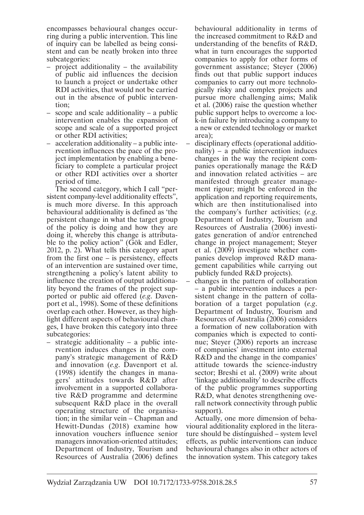encompasses behavioural changes occurring during a public intervention. This line of inquiry can be labelled as being consistent and can be neatly broken into three subcategories:

- project additionality the availability of public aid influences the decision to launch a project or undertake other RDI activities, that would not be carried out in the absence of public intervention;
- scope and scale additionality a public intervention enables the expansion of scope and scale of a supported project or other RDI activities;
- acceleration additionality a public intervention influences the pace of the project implementation by enabling a beneficiary to complete a particular project or other RDI activities over a shorter period of time.

The second category, which I call "persistent company-level additionality effects", is much more diverse. In this approach behavioural additionality is defined as 'the persistent change in what the target group of the policy is doing and how they are doing it, whereby this change is attributable to the policy action" (Gök and Edler, 2012, p. 2). What tells this category apart from the first one  $-$  is persistency, effects of an intervention are sustained over time, strengthening a policy's latent ability to influence the creation of output additionality beyond the frames of the project supported or public aid offered (*e.g*. Davenport et al., 1998). Some of these definitions overlap each other. However, as they highlight different aspects of behavioural changes, I have broken this category into three subcategories:

– strategic additionality – a public intervention induces changes in the company's strategic management of R&D and innovation (*e.g*. Davenport et al. (1998) identify the changes in managers' attitudes towards R&D after involvement in a supported collaborative R&D programme and determine subsequent R&D place in the overall operating structure of the organisation; in the similar vein – Chapman and Hewitt-Dundas (2018) examine how innovation vouchers influence senior managers innovation-oriented attitudes; Department of Industry, Tourism and Resources of Australia (2006) defines

behavioural additionality in terms of the increased commitment to R&D and understanding of the benefits of R&D, what in turn encourages the supported companies to apply for other forms of government assistance; Steyer (2006) finds out that public support induces companies to carry out more technologically risky and complex projects and pursue more challenging aims; Malik et al. (2006) raise the question whether public support helps to overcome a lock-in failure by introducing a company to a new or extended technology or market area);

- disciplinary effects (operational additionality) – a public intervention induces changes in the way the recipient companies operationally manage the R&D and innovation related activities – are manifested through greater management rigour; might be enforced in the application and reporting requirements, which are then institutionalised into the company's further activities; (*e.g*. Department of Industry, Tourism and Resources of Australia (2006) investigates generation of and/or entrenched change in project management; Steyer et al. (2009) investigate whether companies develop improved R&D management capabilities while carrying out publicly funded R&D projects).
- changes in the pattern of collaboration – a public intervention induces a persistent change in the pattern of collaboration of a target population (*e.g*. Department of Industry, Tourism and Resources of Australia (2006) considers a formation of new collaboration with companies which is expected to continue; Steyer (2006) reports an increase of companies' investment into external R&D and the change in the companies' attitude towards the science-industry sector; Breshi et al. (2009) write about 'linkage additionality' to describe effects of the public programmes supporting R&D, what denotes strengthening overall network connectivity through public support).

Actually, one more dimension of behavioural additionality explored in the literature should be distinguished – system level effects, as public interventions can induce behavioural changes also in other actors of the innovation system. This category takes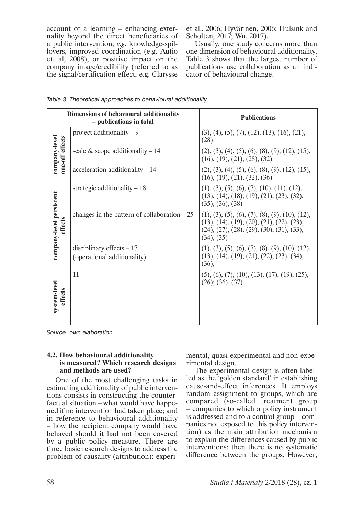account of a learning – enhancing externality beyond the direct beneficiaries of a public intervention, *e.g*. knowledge-spillovers, improved coordination (e.g. Autio et. al, 2008), or positive impact on the company image/credibility (referred to as the signal/certification effect, e.g. Clarysse

et al., 2006; Hyvärinen, 2006; Hulsink and Scholten, 2017; Wu, 2017).

Usually, one study concerns more than one dimension of behavioural additionality. Table 3 shows that the largest number of publications use collaboration as an indicator of behavioural change.

| <b>Dimensions of behavioural additionality</b><br>- publications in total |                                                           | <b>Publications</b>                                                                                                                                          |  |
|---------------------------------------------------------------------------|-----------------------------------------------------------|--------------------------------------------------------------------------------------------------------------------------------------------------------------|--|
| company-level<br>one-off effects                                          | project additionality $-9$                                | $(3), (4), (5), (7), (12), (13), (16), (21),$<br>(28)                                                                                                        |  |
|                                                                           | scale & scope additionality – 14                          | $(2), (3), (4), (5), (6), (8), (9), (12), (15),$<br>(16), (19), (21), (28), (32)                                                                             |  |
|                                                                           | $acceleration additionality - 14$                         | $(2), (3), (4), (5), (6), (8), (9), (12), (15),$<br>(16), (19), (21), (32), (36)                                                                             |  |
| company-level persistent<br>effects                                       | strategic additionality $-18$                             | $(1), (3), (5), (6), (7), (10), (11), (12),$<br>$(13), (14), (18), (19), (21), (23), (32),$<br>(35), (36), (38)                                              |  |
|                                                                           | changes in the pattern of collaboration $-25$             | $(1), (3), (5), (6), (7), (8), (9), (10), (12),$<br>$(13), (14), (19), (20), (21), (22), (23),$<br>$(24), (27), (28), (29), (30), (31), (33),$<br>(34), (35) |  |
|                                                                           | disciplinary effects $-17$<br>(operational additionality) | $(1), (3), (5), (6), (7), (8), (9), (10), (12),$<br>$(13), (14), (19), (21), (22), (23), (34),$<br>(36),                                                     |  |
| system-level<br>effects                                                   | 11                                                        | $(5)$ , $(6)$ , $(7)$ , $(10)$ , $(13)$ , $(17)$ , $(19)$ , $(25)$ ,<br>(26); (36), (37)                                                                     |  |

*Table 3. Theoretical approaches to behavioural additionality*

*Source: own elaboration.*

#### **4.2. How behavioural additionality is measured? Which research designs and methods are used?**

One of the most challenging tasks in estimating additionality of public interventions consists in constructing the counterfactual situation – what would have happened if no intervention had taken place; and in reference to behavioural additionality – how the recipient company would have behaved should it had not been covered by a public policy measure. There are three basic research designs to address the problem of causality (attribution): experimental, quasi-experimental and non-experimental design.

The experimental design is often labelled as the 'golden standard' in establishing cause-and-effect inferences. It employs random assignment to groups, which are compared (so-called treatment group – companies to which a policy instrument is addressed and to a control group – companies not exposed to this policy intervention) as the main attribution mechanism to explain the differences caused by public interventions; then there is no systematic difference between the groups. However,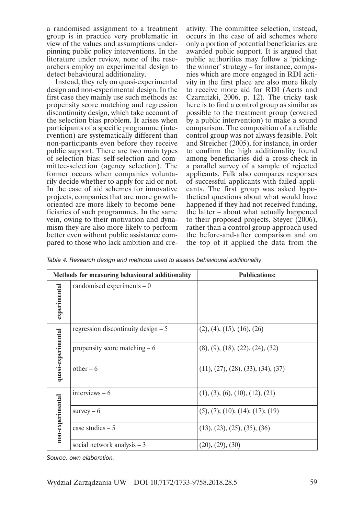a randomised assignment to a treatment group is in practice very problematic in view of the values and assumptions underpinning public policy interventions. In the literature under review, none of the researchers employ an experimental design to detect behavioural additionality.

Instead, they rely on quasi-experimental design and non-experimental design. In the first case they mainly use such methods as: propensity score matching and regression discontinuity design, which take account of the selection bias problem. It arises when participants of a specific programme (intervention) are systematically different than non-participants even before they receive public support. There are two main types of selection bias: self-selection and committee-selection (agency selection). The former occurs when companies voluntarily decide whether to apply for aid or not. In the case of aid schemes for innovative projects, companies that are more growthoriented are more likely to become beneficiaries of such programmes. In the same vein, owing to their motivation and dynamism they are also more likely to perform better even without public assistance compared to those who lack ambition and creativity. The committee selection, instead, occurs in the case of aid schemes where only a portion of potential beneficiaries are awarded public support. It is argued that public authorities may follow a 'pickingthe winner' strategy – for instance, companies which are more engaged in RDI activity in the first place are also more likely to receive more aid for RDI (Aerts and Czarnitzki, 2006, p. 12). The tricky task here is to find a control group as similar as possible to the treatment group (covered by a public intervention) to make a sound comparison. The composition of a reliable control group was not always feasible. Polt and Streicher (2005), for instance, in order to confirm the high additionality found among beneficiaries did a cross-check in a parallel survey of a sample of rejected applicants. Falk also compares responses of successful applicants with failed applicants. The first group was asked hypothetical questions about what would have happened if they had not received funding, the latter – about what actually happened to their proposed projects. Steyer (2006), rather than a control group approach used the before-and-after comparison and on the top of it applied the data from the

*Table 4. Research design and methods used to assess behavioural additionality*

|                    | Methods for measuring behavioural additionality | <b>Publications:</b>                              |  |
|--------------------|-------------------------------------------------|---------------------------------------------------|--|
| experimental       | randomised experiments $-0$                     |                                                   |  |
|                    | regression discontinuity design $-5$            | (2), (4), (15), (16), (26)                        |  |
| quasi-experimental | propensity score matching $-6$                  | $(8)$ , $(9)$ , $(18)$ , $(22)$ , $(24)$ , $(32)$ |  |
|                    | $other-6$                                       | (11), (27), (28), (33), (34), (37)                |  |
|                    | interviews $-6$                                 | (1), (3), (6), (10), (12), (21)                   |  |
| non-experimental   | survey $-6$                                     | (5), (7); (10); (14); (17); (19)                  |  |
|                    | case studies $-5$                               | (13), (23), (25), (35), (36)                      |  |
|                    | social network analysis $-3$                    | (20), (29), (30)                                  |  |

*Source: own elaboration.*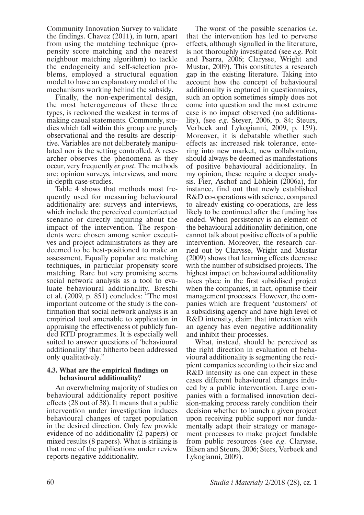Community Innovation Survey to validate the findings. Chavez (2011), in turn, apart from using the matching technique (propensity score matching and the nearest neighbour matching algorithm) to tackle the endogeneity and self-selection problems, employed a structural equation model to have an explanatory model of the mechanisms working behind the subsidy.

Finally, the non-experimental design, the most heterogeneous of these three types, is reckoned the weakest in terms of making casual statements. Commonly, studies which fall within this group are purely observational and the results are descriptive. Variables are not deliberately manipulated nor is the setting controlled. A researcher observes the phenomena as they occur, very frequently *ex post*. The methods are: opinion surveys, interviews, and more in-depth case-studies.

Table 4 shows that methods most frequently used for measuring behavioural additionality are: surveys and interviews, which include the perceived counterfactual scenario or directly inquiring about the impact of the intervention. The respondents were chosen among senior executives and project administrators as they are deemed to be best-positioned to make an assessment. Equally popular are matching techniques, in particular propensity score matching. Rare but very promising seems social network analysis as a tool to evaluate behavioural additionality. Breschi et al. (2009, p. 851) concludes: "The most important outcome of the study is the confirmation that social network analysis is an empirical tool amenable to application in appraising the effectiveness of publicly funded RTD programmes. It is especially well suited to answer questions of 'behavioural additionality' that hitherto been addressed only qualitatively."

#### **4.3. What are the empirical findings on behavioural additionality?**

An overwhelming majority of studies on behavioural additionality report positive effects (28 out of 38). It means that a public intervention under investigation induces behavioural changes of target population in the desired direction. Only few provide evidence of no additionality (2 papers) or mixed results (8 papers). What is striking is that none of the publications under review reports negative additionality.

The worst of the possible scenarios *i.e*. that the intervention has led to perverse effects, although signalled in the literature, is not thoroughly investigated (see *e.g*. Polt and Psarra, 2006; Clarysse, Wright and Mustar, 2009). This constitutes a research gap in the existing literature. Taking into account how the concept of behavioural additionality is captured in questionnaires, such an option sometimes simply does not come into question and the most extreme case is no impact observed (no additionality), (see *e.g*. Steyer, 2006, p. 84; Steurs, Verbeek and Lykogianni, 2009, p. 159). Moreover, it is debatable whether such effects as: increased risk tolerance, entering into new market, new collaboration, should always be deemed as manifestations of positive behavioural additionality. In my opinion, these require a deeper analysis. Fier, Aschof and Löhlein (2006a), for instance, find out that newly established R&D co-operations with science, compared to already existing co-operations, are less likely to be continued after the funding has ended. When persistency is an element of the behavioural additionality definition, one cannot talk about positive effects of a public intervention. Moreover, the research carried out by Clarysse, Wright and Mustar (2009) shows that learning effects decrease with the number of subsidised projects. The highest impact on behavioural additionality takes place in the first subsidised project when the companies, in fact, optimise their management processes. However, the companies which are frequent 'customers' of a subsidising agency and have high level of R&D intensity, claim that interaction with an agency has even negative additionality and inhibit their processes.

What, instead, should be perceived as the right direction in evaluation of behavioural additionality is segmenting the recipient companies according to their size and R&D intensity as one can expect in these cases different behavioural changes induced by a public intervention. Large companies with a formalised innovation decision-making process rarely condition their decision whether to launch a given project upon receiving public support nor fundamentally adapt their strategy or management processes to make project fundable from public resources (see *e.g*. Clarysse, Bilsen and Steurs, 2006; Sters, Verbeek and Lykogianni, 2009).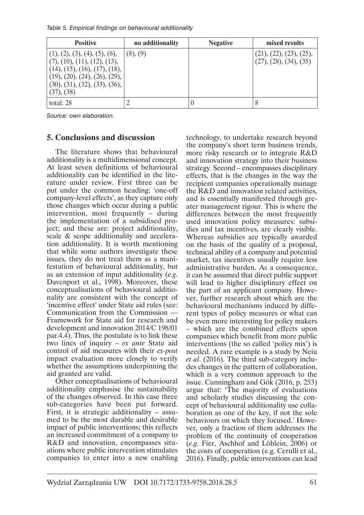*Table 5. Empirical findings on behavioural additionality*

| <b>Positive</b>                                                                                                                                                                | no additionality | <b>Negative</b> | mixed results                                     |
|--------------------------------------------------------------------------------------------------------------------------------------------------------------------------------|------------------|-----------------|---------------------------------------------------|
| (1), (2), (3), (4), (5), (6),<br>(7), (10), (11), (12), (13),<br>(14), (15), (16), (17), (18),<br>(19), (20), (24), (26), (29),<br>(30), (31), (32), (33), (36),<br>(37), (38) | (8), (9)         |                 | (21), (22), (23), (25),<br>(27), (28), (34), (35) |
| total: 28                                                                                                                                                                      | $\mathcal{D}$    |                 | 8                                                 |

*Source: own elaboration.*

#### **5. Conclusions and discussion**

The literature shows that behavioural additionality is a multidimensional concept. At least seven definitions of behavioural additionality can be identified in the literature under review. First three can be put under the common heading: 'one-off company-level effects', as they capture only those changes which occur during a public intervention, most frequently – during the implementation of a subsidised project; and these are: project additionality, scale & scope additionality and acceleration additionality. It is worth mentioning that while some authors investigate these issues, they do not treat them as a manifestation of behavioural additionality, but as an extension of input additionality (*e.g*. Davenport et al., 1998). Moreover, these conceptualisations of behavioural additionality are consistent with the concept of 'incentive effect' under State aid rules (see: Communication from the Commission — Framework for State aid for research and development and innovation 2014/C 198/01 par.4.4). Thus, the postulate is to link these two lines of inquiry – *ex ante* State aid control of aid measures with their *ex-post* impact evaluation more closely to verify whether the assumptions underpinning the aid granted are valid.

Other conceptualisations of behavioural additionality emphasise the sustainability of the changes observed. In this case three sub-categories have been put forward. First, it is strategic additionality – assumed to be the most durable and desirable impact of public interventions; this reflects an increased commitment of a company to R&D and innovation, encompasses situations where public intervention stimulates companies to enter into a new enabling

technology, to undertake research beyond the company's short term business trends, more risky research or to integrate R&D and innovation strategy into their business strategy. Second – encompasses disciplinary effects, that is the changes in the way the recipient companies operationally manage the R&D and innovation related activities, and is essentially manifested through greater management rigour. This is where the differences between the most frequently used innovation policy measures: subsidies and tax incentives, are clearly visible. Whereas subsidies are typically awarded on the basis of the quality of a proposal, technical ability of a company and potential market, tax incentives usually require less administrative burden. As a consequence, it can be assumed that direct public support will lead to higher disciplinary effect on the part of an applicant company. However, further research about which are the behavioural mechanisms induced by different types of policy measures or what can be even more interesting for policy makers – which are the combined effects upon companies which benefit from more public interventions (the so called 'policy mix') is needed. A rare example is a study by Neiu *et al*. (2016). The third sub-category includes changes in the pattern of collaboration, which is a very common approach to the issue. Cunningham and Gök (2016, p. 253) argue that: 'The majority of evaluations and scholarly studies discussing the concept of behavioural additionality use collaboration as one of the key, if not the sole behaviours on which they focused.' However, only a fraction of them addresses the problem of the continuity of cooperation (*e.g*. Fier, Aschhof and Löhlein, 2006) or the costs of cooperation (e.g. Cerulli et al., 2016). Finally, public interventions can lead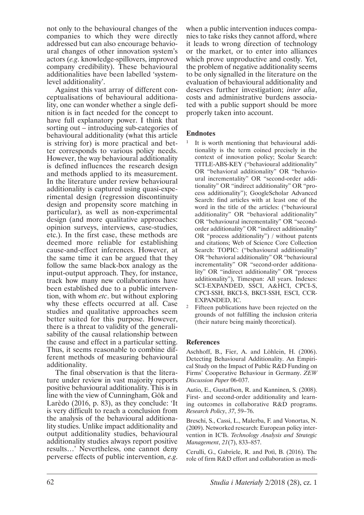not only to the behavioural changes of the companies to which they were directly addressed but can also encourage behavioural changes of other innovation system's actors (*e.g*. knowledge-spillovers, improved company credibility). These behavioural additionalities have been labelled 'systemlevel additionality'.

Against this vast array of different conceptualisations of behavioural additionality, one can wonder whether a single definition is in fact needed for the concept to have full explanatory power. I think that sorting out – introducing sub-categories of behavioural additionality (what this article is striving for) is more practical and better corresponds to various policy needs. However, the way behavioural additionality is defined influences the research design and methods applied to its measurement. In the literature under review behavioural additionality is captured using quasi-experimental design (regression discontinuity design and propensity score matching in particular), as well as non-experimental design (and more qualitative approaches: opinion surveys, interviews, case-studies, etc.). In the first case, these methods are deemed more reliable for establishing cause-and-effect inferences. However, at the same time it can be argued that they follow the same black-box analogy as the input-output approach. They, for instance, track how many new collaborations have been established due to a public intervention, with whom *etc*. but without exploring why these effects occurred at all. Case studies and qualitative approaches seem better suited for this purpose. However, there is a threat to validity of the generalisability of the causal relationship between the cause and effect in a particular setting. Thus, it seems reasonable to combine different methods of measuring behavioural additionality.

The final observation is that the literature under review in vast majority reports positive behavioural additionality. This is in line with the view of Cunningham, Gök and Larèdo (2016, p. 83), as they conclude: 'It is very difficult to reach a conclusion from the analysis of the behavioural additionality studies. Unlike impact additionality and output additionality studies, behavioural additionality studies always report positive results…' Nevertheless, one cannot deny perverse effects of public intervention, *e.g*.

when a public intervention induces companies to take risks they cannot afford, where it leads to wrong direction of technology or the market, or to enter into alliances which prove unproductive and costly. Yet, the problem of negative additionality seems to be only signalled in the literature on the evaluation of behavioural additionality and deserves further investigation; *inter alia*, costs and administrative burdens associated with a public support should be more properly taken into account.

#### **Endnotes**

- 1 It is worth mentioning that behavioural additionality is the term coined precisely in the context of innovation policy; Scolar Search: TITLE-ABS-KEY ("behavioural additionality" OR "behavioral additionality" OR "behavioural incrementality" OR "second-order additionality" OR "indirect additionality" OR "process additionality"); GoogleScholar Advanced Search: find articles with at least one of the word in the title of the articles: ("behavioural additionality" OR "behavioral additionality" OR "behavioural incrementality" OR "secondorder additionality" OR "indirect additionality" OR "process additionality") / without patents and citations; Web of Science Core Collection Search: TOPIC: ("behavioural additionality" OR "behavioral additionality" OR "behavioural incrementality" OR "second-order additionality" OR "indirect additionality" OR "process additionality"), Timespan: All years. Indexes: SCI-EXPANDED, SSCI, A&HCI, CPCI-S, CPCI-SSH, BKCI-S, BKCI-SSH, ESCI, CCR-EXPANDED, IC.
- <sup>2</sup> Fifteen publications have been rejected on the grounds of not fulfilling the inclusion criteria (their nature being mainly theoretical).

#### **References**

Aschhoff, B., Fier, A. and Löhlein, H. (2006). Detecting Behavioural Additionality. An Empirical Study on the Impact of Public R&D Funding on Firms' Cooperative Behaviour in Germany. *ZEW Discussion Paper* 06-037.

Autio, E., Gustaffson, R. and Kanninen, S. (2008). First- and second-order additionality and learning outcomes in collaborative R&D programs. *Research Policy*, *37*, 59–76.

Breschi, S., Cassi, L., Malerba, F. and Vonortas, N. (2009). Networked research: European policy intervention in ICTs. *Technology Analysis and Strategic Management*, *21*(7), 833–857.

Cerulli, G., Gabriele, R. and Potì, B. (2016). The role of firm R&D effort and collaboration as medi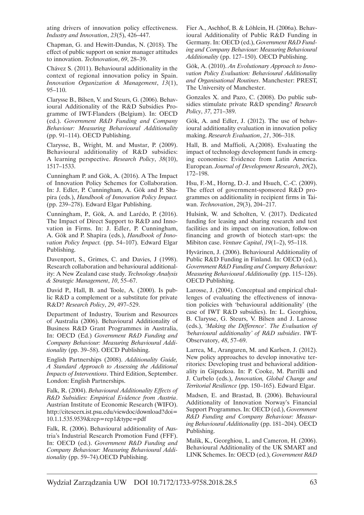ating drivers of innovation policy effectiveness. *Industry and Innovation*, *23*(5), 426–447.

Chapman, G. and Hewitt-Dundas, N. (2018). The effect of public support on senior manager attitudes to innovation. *Technovation*, *69*, 28–39.

Chávez S. (2011). Behavioural additionality in the context of regional innovation policy in Spain. *Innovation Organization & Management*, *13*(1), 95–110.

Clarysse B., Bilsen, V. and Steurs, G. (2006). Behavioural Additionality of the R&D Subsidies Programme of IWT-Flanders (Belgium). In: OECD (ed.). *Government R&D Funding and Company Behaviour: Measuring Behavioural Additionality*  (pp. 91–114). OECD Publishing.

Clarysse, B., Wright, M. and Mustar, P. (2009). Behavioural additionality of R&D subsidies: A learning perspective. *Research Policy*, *38*(10), 1517–1533.

Cunningham P. and Gök, A. (2016). A The Impact of Innovation Policy Schemes for Collaboration. In: J. Edler, P. Cunningham, A. Gök and P. Shapira (eds.), *Handbook of Innovation Policy Impact.*  (pp. 239–278). Edward Elgar Publishing.

Cunningham, P., Gök, A. and Larédo, P. (2016). The Impact of Direct Support to R&D and Innovation in Firms. In: J. Edler, P. Cunningham, A. Gök and P. Shapira (eds.), *Handbook of Innovation Policy Impact.* (pp. 54–107). Edward Elgar Publishing.

Davenport, S., Grimes, C. and Davies, J (1998). Research collaboration and behavioural additionality: A New Zealand case study. *Technology Analysis & Strategic Management*, *10*, 55–67.

David P., Hall, B. and Toole, A. (2000). Is public R&D a complement or a substitute for private R&D? *Research Policy*, *29*, 497–529.

Department of Industry, Tourism and Resources of Australia (2006). Behavioural Additionality of Business R&D Grant Programmes in Australia, In: OECD (Ed.) *Government R&D Funding and Company Behaviour: Measuring Behavioural Additionality* (pp. 39–58). OECD Publishing.

English Partnerships (2008). *Additionality Guide, A Standard Approach to Assessing the Additional Impacts of Interventions*. Third Edition, September. London: English Partnerships.

Falk, R. (2004). *Behavioural Additionality Effects of R&D Subsidies: Empirical Evidence from Austria*. Austrian Institute of Economic Research (WIFO). http://citeseerx.ist.psu.edu/viewdoc/download?doi= 10.1.1.535.9539&rep=rep1&type=pdf

Falk, R. (2006). Behavioural additionality of Austria's Industrial Research Promotion Fund (FFF). In: OECD (ed.). *Government R&D Funding and Company Behaviour: Measuring Behavioural Additionality* (pp. 59–74).OECD Publishing.

Fier A., Aschhof, B. & Löhlein, H. (2006a). Behavioural Additionality of Public R&D Funding in Germany. In: OECD (ed.), *Government R&D Funding and Company Behaviour: Measuring Behavioural Additionality* (pp. 127–150). OECD Publishing.

Gök, A. (2010). *An Evolutionary Approach to Innovation Policy Evaluation: Behavioural Additionality and Organisational Routines*. Manchester: PREST, The University of Manchester.

Gonzales X. and Pazo, C. (2008). Do public subsidies stimulate private R&D spending? *Research Policy*, *37*, 271–389.

Gök, A. and Edler, J. (2012). The use of behavioural additionality evaluation in innovation policy making. *Research Evaluation*, *21*, 306–318.

Hall, B. and Maffioli, A.(2008). Evaluating the impact of technology development funds in emerging economies: Evidence from Latin America. European. *Journal of Development Research*, *20*(2), 172–198.

Hsu, F.-M., Horng, D.-J. and Hsueh, C.-C. (2009). The effect of government-sponsored R&D programmes on additionality in recipient firms in Taiwan. *Technovation*, 29(3), 204–217.

Hulsink, W. and Scholten, V. (2017). Dedicated funding for leasing and sharing research and test facilities and its impact on innovation, follow-on financing and growth of biotech start-ups: the Mibiton case. *Venture Capital*, *19*(1–2), 95–118.

Hyvärinen, J. (2006). Behavioural Additionality of Public R&D Funding in Finland. In: OECD (ed.), *Government R&D Funding and Company Behaviour: Measuring Behavioural Additionality* (pp. 115–126). OECD Publishing.

Larosse, J. (2004). Conceptual and empirical challenges of evaluating the effectiveness of innovation policies with 'behavioural additionality' (the case of IWT R&D subsidies). In: L. Georghiou, B. Clarysse, G. Steurs, V. Bilsen and J. Larosse (eds.), *'Making the Difference'. The Evaluation of 'behavioural additionality' of R&D subsidies*. IWT-Observatory, *48*, 57–69.

Larrea, M., Aranguren, M. and Karlsen, J. (2012). New policy approaches to develop innovative territories: Developing trust and behavioral additionality in Gipuzkoa. In: P. Cooke, M. Parrilli and J. Curbelo (eds.), *Innovation, Global Change and Territorial Resilience* (pp. 150–165). Edward Elgar.

Madsen, E. and Brastad, B. (2006). Behavioural Additionality of Innovation Norway's Financial Support Programmes. In: OECD (ed.), *Government R&D Funding and Company Behaviour: Measuring Behavioural Additionality* (pp. 181–204). OECD Publishing.

Malik, K., Georghiou, L. and Cameron, H. (2006). Behavioural Additionality of the UK SMART and LINK Schemes. In: OECD (ed.), *Government R&D*